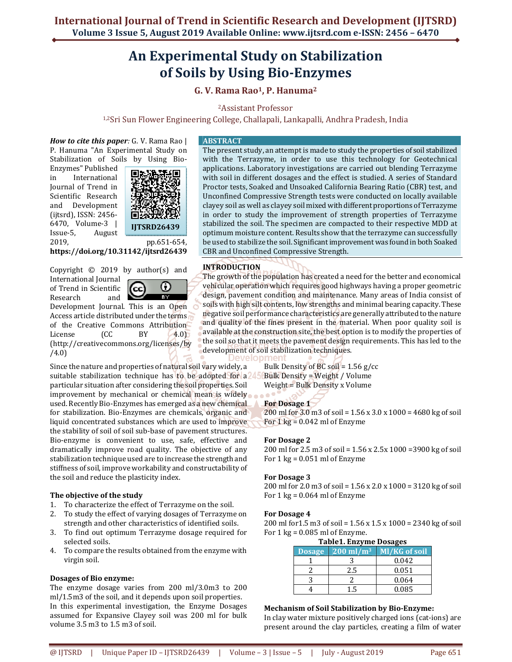# **An Experimental Study on Stabilization of Soils by Using Bio-Enzymes**

## **G. V. Rama Rao1, P. Hanuma<sup>2</sup>**

<sup>2</sup>Assistant Professor

1,2Sri Sun Flower Engineering College, Challapali, Lankapalli, Andhra Pradesh, India

*How to cite this paper:* G. V. Rama Rao | P. Hanuma "An Experimental Study on Stabilization of Soils by Using Bio-

Enzymes" Published in International Journal of Trend in Scientific Research and Development (ijtsrd), ISSN: 2456- 6470, Volume-3 | Issue-5, August



2019, pp.651-654, **https://doi.org/10.31142/ijtsrd26439**

Copyright © 2019 by author(s) and International Journal of Trend in Scientific Research and



Development Journal. This is an Open Access article distributed under the terms of the Creative Commons Attribution License (CC BY 4.0) (http://creativecommons.org/licenses/by /4.0)

Since the nature and properties of natural soil vary widely, a suitable stabilization technique has to be adopted for a<sup>245</sup> particular situation after considering the soil properties. Soil improvement by mechanical or chemical mean is widely used. Recently Bio-Enzymes has emerged as a new chemical for stabilization. Bio-Enzymes are chemicals, organic and liquid concentrated substances which are used to improve the stability of soil of soil sub-base of pavement structures. Bio-enzyme is convenient to use, safe, effective and dramatically improve road quality. The objective of any stabilization technique used are to increase the strength and stiffness of soil, improve workability and constructability of the soil and reduce the plasticity index.

## **The objective of the study**

- 1. To characterize the effect of Terrazyme on the soil.
- 2. To study the effect of varying dosages of Terrazyme on strength and other characteristics of identified soils.
- 3. To find out optimum Terrazyme dosage required for selected soils.
- 4. To compare the results obtained from the enzyme with virgin soil.

## **Dosages of Bio enzyme:**

The enzyme dosage varies from 200 ml/3.0m3 to 200 ml/1.5m3 of the soil, and it depends upon soil properties. In this experimental investigation, the Enzyme Dosages assumed for Expansive Clayey soil was 200 ml for bulk volume 3.5 m3 to 1.5 m3 of soil.

## **ABSTRACT**

The present study, an attempt is made to study the properties of soil stabilized with the Terrazyme, in order to use this technology for Geotechnical applications. Laboratory investigations are carried out blending Terrazyme with soil in different dosages and the effect is studied. A series of Standard Proctor tests, Soaked and Unsoaked California Bearing Ratio (CBR) test, and Unconfined Compressive Strength tests were conducted on locally available clayey soil as well as clayey soil mixed with different proportions of Terrazyme in order to study the improvement of strength properties of Terrazyme stabilized the soil. The specimen are compacted to their respective MDD at optimum moisture content. Results show that the terrazyme can successfully be used to stabilize the soil. Significant improvement was found in both Soaked CBR and Unconfined Compressive Strength.

## **INTRODUCTION**

The growth of the population has created a need for the better and economical vehicular operation which requires good highways having a proper geometric design, pavement condition and maintenance. Many areas of India consist of soils with high silt contents, low strengths and minimal bearing capacity. These negative soil performance characteristics are generally attributed to the nature and quality of the fines present in the material. When poor quality soil is available at the construction site, the best option is to modify the properties of the soil so that it meets the pavement design requirements. This has led to the development of soil stabilization techniques.

Bulk Density of BC soil =  $1.56$  g/cc Bulk Density = Weight / Volume Weight = Bulk Density x Volume

## **For Dosage 1**

200 ml for 3.0 m3 of soil = 1.56 x 3.0 x 1000 = 4680 kg of soil For  $1 \text{ kg} = 0.042 \text{ ml of Enzyme}$ 

## **For Dosage 2**

200 ml for 2.5 m3 of soil = 1.56 x 2.5x 1000 =3900 kg of soil For  $1 \text{ kg} = 0.051 \text{ ml of Enzyme}$ 

## **For Dosage 3**

200 ml for 2.0 m3 of soil = 1.56 x 2.0 x 1000 = 3120 kg of soil For  $1 \text{ kg} = 0.064 \text{ ml of Enzyme}$ 

## **For Dosage 4**

200 ml for1.5 m3 of soil = 1.56 x 1.5 x 1000 = 2340 kg of soil For  $1 \text{ kg} = 0.085 \text{ ml of Enzyme.}$ 

|  | <b>Table1. Enzyme Dosages</b> |
|--|-------------------------------|
|  |                               |

| Dosage $200 \text{ ml/m}^3$ | Ml/KG of soil |
|-----------------------------|---------------|
|                             | 0.042         |
| 2.5                         | 0.051         |
|                             | 0.064         |
|                             | 0.085         |

## **Mechanism of Soil Stabilization by Bio-Enzyme:**

In clay water mixture positively charged ions (cat-ions) are present around the clay particles, creating a film of water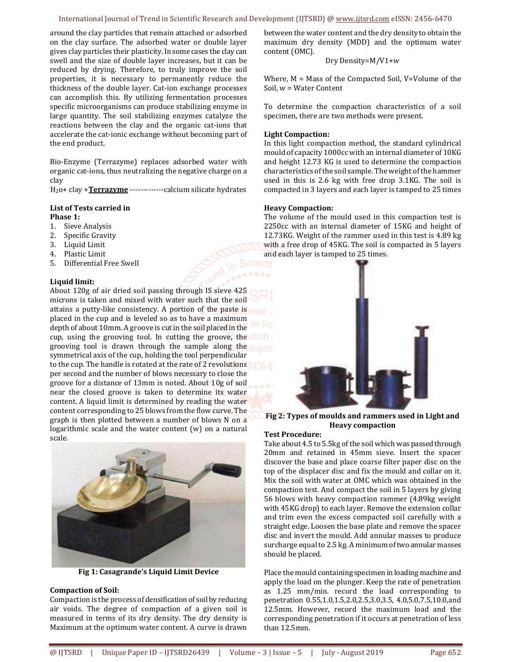#### International Journal of Trend in Scientific Research and Development (IJTSRD) @ www.ijtsrd.com eISSN: 2456-6470

around the clay particles that remain attached or adsorbed on the clay surface. The adsorbed water or double layer gives clay particles their plasticity. In some cases the clay can swell and the size of double layer increases, but it can be reduced by drying. Therefore, to truly improve the soil properties, it is necessary to permanently reduce the thickness of the double layer. Cat-ion exchange processes can accomplish this. By utilizing fermentation processes specific microorganisms can produce stabilizing enzyme in large quantity. The soil stabilizing enzymes catalyze the reactions between the clay and the organic cat-ions that accelerate the cat-ionic exchange without becoming part of the end product.

Bio-Enzyme (Terrazyme) replaces adsorbed water with organic cat-ions, thus neutralizing the negative charge on a clay

H2o+ clay +**Terrazyme** -------------calcium silicate hydrates

## **List of Tests carried in**

- **Phase 1:**
- 1. Sieve Analysis
- 2. Specific Gravity
- 3. Liquid Limit
- 4. Plastic Limit
- 5. Differential Free Swell

## **Liquid limit:**

About 120g of air dried soil passing through IS sieve 425 microns is taken and mixed with water such that the soil attains a putty-like consistency. A portion of the paste is placed in the cup and is leveled so as to have a maximum depth of about 10mm. A groove is cut in the soil placed in the cup, using the grooving tool. In cutting the groove, the arch a grooving tool is drawn through the sample along the long symmetrical axis of the cup, holding the tool perpendicular to the cup. The handle is rotated at the rate of 2 revolutions 456-6 per second and the number of blows necessary to close the groove for a distance of 13mm is noted. About 10g of soil near the closed groove is taken to determine its water content. A liquid limit is determined by reading the water content corresponding to 25 blows from the flow curve. The graph is then plotted between a number of blows N on a logarithmic scale and the water content (w) on a natural scale.



**Fig 1: Casagrande's Liquid Limit Device**

#### **Compaction of Soil:**

Compaction is the process of densification of soil by reducing air voids. The degree of compaction of a given soil is measured in terms of its dry density. The dry density is Maximum at the optimum water content. A curve is drawn

between the water content and the dry density to obtain the maximum dry density (MDD) and the optimum water content (OMC).

## Dry Density=M/V1+w

Where, M = Mass of the Compacted Soil, V=Volume of the Soil, w = Water Content

To determine the compaction characteristics of a soil specimen, there are two methods were present.

#### **Light Compaction:**

In this light compaction method, the standard cylindrical mould of capacity 1000cc with an internal diameter of 10KG and height 12.73 KG is used to determine the compaction characteristics of the soil sample. The weight of the hammer used in this is 2.6 kg with free drop 3.1KG. The soil is compacted in 3 layers and each layer is tamped to 25 times

#### **Heavy Compaction:**

The volume of the mould used in this compaction test is 2250cc with an internal diameter of 15KG and height of 12.73KG. Weight of the rammer used in this test is 4.89 kg with a free drop of 45KG. The soil is compacted in 5 layers and each layer is tamped to 25 times.



**Fig 2: Types of moulds and rammers used in Light and Heavy compaction**

#### **Test Procedure:**

Take about 4.5 to 5.5kg of the soil which was passed through 20mm and retained in 45mm sieve. Insert the spacer discover the base and place coarse filter paper disc on the top of the displacer disc and fix the mould and collar on it. Mix the soil with water at OMC which was obtained in the compaction test. And compact the soil in 5 layers by giving 56 blows with heavy compaction rammer (4.89kg weight with 45KG drop) to each layer. Remove the extension collar and trim even the excess compacted soil carefully with a straight edge. Loosen the base plate and remove the spacer disc and invert the mould. Add annular masses to produce surcharge equal to 2.5 kg. A minimum of two annular masses should be placed.

Place the mould containing specimen in loading machine and apply the load on the plunger. Keep the rate of penetration as 1.25 mm/min. record the load corresponding to penetration 0.55,1.0,1.5,2.0,2.5,3.0,3.5, 4.0,5.0,7.5,10.0,and 12.5mm. However, record the maximum load and the corresponding penetration if it occurs at penetration of less than 12.5mm.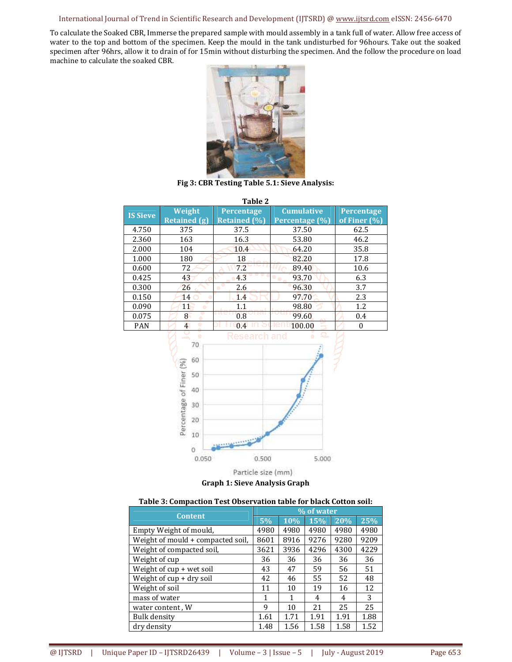## International Journal of Trend in Scientific Research and Development (IJTSRD) @ www.ijtsrd.com eISSN: 2456-6470

To calculate the Soaked CBR, Immerse the prepared sample with mould assembly in a tank full of water. Allow free access of water to the top and bottom of the specimen. Keep the mould in the tank undisturbed for 96hours. Take out the soaked specimen after 96hrs, allow it to drain of for 15min without disturbing the specimen. And the follow the procedure on load machine to calculate the soaked CBR.



**Fig 3: CBR Testing Table 5.1: Sieve Analysis:**

| Table 2                                                                                                                                     |                             |                     |                   |                  |  |  |
|---------------------------------------------------------------------------------------------------------------------------------------------|-----------------------------|---------------------|-------------------|------------------|--|--|
| <b>IS Sieve</b>                                                                                                                             | Weight                      | Percentage          | <b>Cumulative</b> | Percentage       |  |  |
|                                                                                                                                             | <b>Retained (g)</b>         | <b>Retained (%)</b> | Percentage (%)    | of Finer (%)     |  |  |
| 4.750                                                                                                                                       | 375                         | 37.5                | 37.50             | 62.5             |  |  |
| 2.360                                                                                                                                       | 163                         | 16.3                | 53.80             | 46.2             |  |  |
| 2.000                                                                                                                                       | 104                         | 10.4                | 64.20             | 35.8             |  |  |
| 1.000                                                                                                                                       | 180                         | 18                  | 82.20             | 17.8             |  |  |
| 0.600                                                                                                                                       | 72                          | 7.2                 | 89.40             | 10.6             |  |  |
| 0.425                                                                                                                                       | 43                          | 4.3                 | 93.70             | 6.3              |  |  |
| 0.300                                                                                                                                       | 26                          | 2.6                 | 96.30             | 3.7              |  |  |
| 0.150                                                                                                                                       | 14                          | 1.4                 | 97.70             | 2.3              |  |  |
| 0.090                                                                                                                                       | 11<br>$\bullet$             | 1.1                 | 98.80             | 1.2              |  |  |
| 0.075                                                                                                                                       | o<br>8<br>$\bullet$         | 0.8                 | 99.60             | 0.4              |  |  |
| PAN                                                                                                                                         | $\overline{4}$<br>$\bullet$ | 0.4                 | 100.00            | $\boldsymbol{0}$ |  |  |
| ۰<br>esearch and<br>70<br>60<br>Percentage of Finer (%)<br>50<br>40<br>30<br>20<br>10<br>G<br>0.500<br>0.050<br>5.000<br>Particle size (mm) |                             |                     |                   |                  |  |  |

**Graph 1: Sieve Analysis Graph**

| Table 3: Compaction Test Observation table for black Cotton soil: |  |  |  |
|-------------------------------------------------------------------|--|--|--|
|-------------------------------------------------------------------|--|--|--|

| <b>Content</b>                    | % of water |      |      |      |      |
|-----------------------------------|------------|------|------|------|------|
|                                   | 5%         | 10%  | 15%  | 20%  | 25%  |
| Empty Weight of mould,            | 4980       | 4980 | 4980 | 4980 | 4980 |
| Weight of mould + compacted soil, | 8601       | 8916 | 9276 | 9280 | 9209 |
| Weight of compacted soil,         | 3621       | 3936 | 4296 | 4300 | 4229 |
| Weight of cup                     | 36         | 36   | 36   | 36   | 36   |
| Weight of cup + wet soil          | 43         | 47   | 59   | 56   | 51   |
| Weight of cup + dry soil          | 42         | 46   | 55   | 52   | 48   |
| Weight of soil                    | 11         | 10   | 19   | 16   | 12   |
| mass of water                     | 1          | 1    | 4    | 4    | 3    |
| water content, W                  | 9          | 10   | 21   | 25   | 25   |
| Bulk density                      | 1.61       | 1.71 | 1.91 | 1.91 | 1.88 |
| dry density                       | 1.48       | 1.56 | 1.58 | 1.58 | 1.52 |